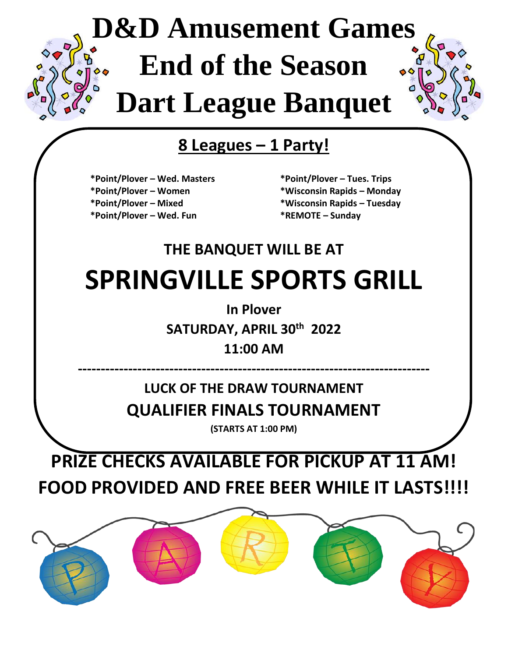# **D&D Amusement Games End of the Season Dart League Banquet**

#### **8 Leagues – 1 Party!**

- **\*Point/Plover – Wed. Masters \*Point/Plover – Tues. Trips**
- 
- 
- **\*Point/Plover – Wed. Fun \*REMOTE – Sunday**
- **\*Point/Plover – Women \*Wisconsin Rapids – Monday**
- **\*Point/Plover – Mixed \*Wisconsin Rapids – Tuesday**
	-

# **THE BANQUET WILL BE AT SPRINGVILLE SPORTS GRILL**

**In Plover**

**SATURDAY, APRIL 30th 2022**

**11:00 AM**

**----------------------------------------------------------------------------- LUCK OF THE DRAW TOURNAMENT QUALIFIER FINALS TOURNAMENT**

**(STARTS AT 1:00 PM)**

#### **PRIZE CHECKS AVAILABLE FOR PICKUP AT 11 AM! FOOD PROVIDED AND FREE BEER WHILE IT LASTS!!!!**